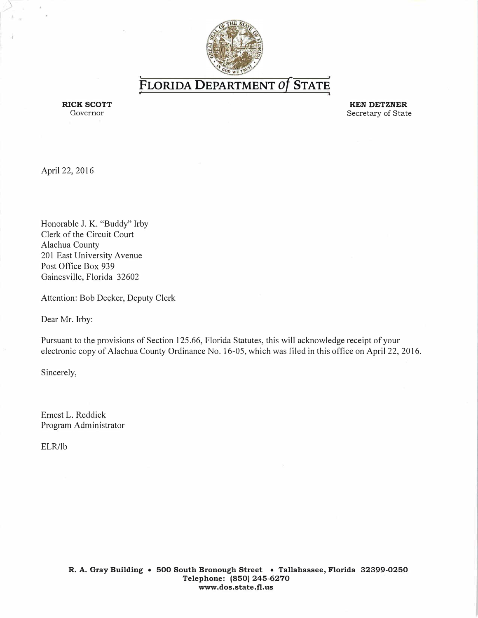

**FLORIDA DEPARTMENT** *of*. **STATE** ,

RICK SCOTT Governor

**KEN DETZNER**  Secretary of State

April 22, 2016

Honorable J. K. "Buddy" Irby Clerk of the Circuit Comt Alachua County 201 East University Avenue Post Office Box 939 Gainesville, Florida 32602

Attention: Bob Decker, Deputy Clerk

Dear Mr. Irby:

Pursuant to the provisions of Section 125.66, Florida Statutes, this will acknowledge receipt of your electronic copy of Alachua County Ordinance No. 16-05, which was filed in this office on April 22, 2016.

Sincerely,

Ernest L. Reddick Program Administrator

ELR/lb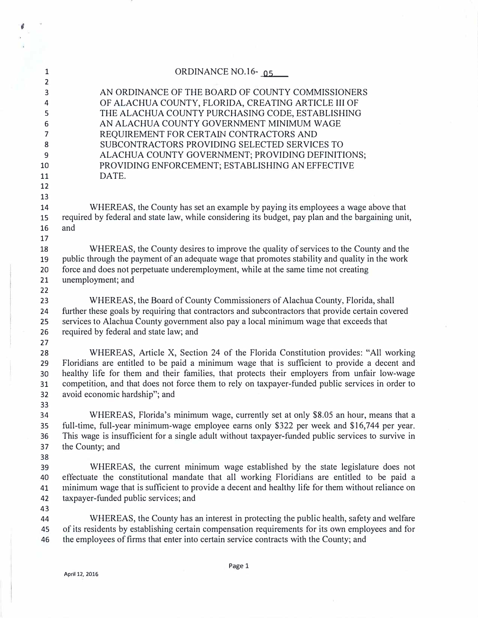| $\mathbf{1}$                           | ORDINANCE NO.16 $-0.5$                                                                                                                                                                                                                                                                                                                                                                                                 |
|----------------------------------------|------------------------------------------------------------------------------------------------------------------------------------------------------------------------------------------------------------------------------------------------------------------------------------------------------------------------------------------------------------------------------------------------------------------------|
| $\overline{2}$<br>3<br>4<br>5          | AN ORDINANCE OF THE BOARD OF COUNTY COMMISSIONERS<br>OF ALACHUA COUNTY, FLORIDA, CREATING ARTICLE III OF<br>THE ALACHUA COUNTY PURCHASING CODE, ESTABLISHING                                                                                                                                                                                                                                                           |
| 6<br>$\overline{7}$                    | AN ALACHUA COUNTY GOVERNMENT MINIMUM WAGE<br>REQUIREMENT FOR CERTAIN CONTRACTORS AND                                                                                                                                                                                                                                                                                                                                   |
| 8                                      | SUBCONTRACTORS PROVIDING SELECTED SERVICES TO                                                                                                                                                                                                                                                                                                                                                                          |
| 9<br>10                                | ALACHUA COUNTY GOVERNMENT; PROVIDING DEFINITIONS;<br>PROVIDING ENFORCEMENT; ESTABLISHING AN EFFECTIVE                                                                                                                                                                                                                                                                                                                  |
| 11<br>12                               | DATE.                                                                                                                                                                                                                                                                                                                                                                                                                  |
| 13<br>14<br>15<br>16<br>17             | WHEREAS, the County has set an example by paying its employees a wage above that<br>required by federal and state law, while considering its budget, pay plan and the bargaining unit,<br>and                                                                                                                                                                                                                          |
| 18<br>19<br>20<br>21<br>22             | WHEREAS, the County desires to improve the quality of services to the County and the<br>public through the payment of an adequate wage that promotes stability and quality in the work<br>force and does not perpetuate underemployment, while at the same time not creating<br>unemployment; and                                                                                                                      |
| 23<br>24<br>25<br>26                   | WHEREAS, the Board of County Commissioners of Alachua County, Florida, shall<br>further these goals by requiring that contractors and subcontractors that provide certain covered<br>services to Alachua County government also pay a local minimum wage that exceeds that<br>required by federal and state law; and                                                                                                   |
| 27<br>28<br>29<br>30<br>31<br>32<br>33 | WHEREAS, Article X, Section 24 of the Florida Constitution provides: "All working<br>Floridians are entitled to be paid a minimum wage that is sufficient to provide a decent and<br>healthy life for them and their families, that protects their employers from unfair low-wage<br>competition, and that does not force them to rely on taxpayer-funded public services in order to<br>avoid economic hardship"; and |
| 34<br>35<br>36<br>37<br>38             | WHEREAS, Florida's minimum wage, currently set at only \$8.05 an hour, means that a<br>full-time, full-year minimum-wage employee earns only \$322 per week and \$16,744 per year.<br>This wage is insufficient for a single adult without taxpayer-funded public services to survive in<br>the County; and                                                                                                            |
| 39<br>40<br>41<br>42                   | WHEREAS, the current minimum wage established by the state legislature does not<br>effectuate the constitutional mandate that all working Floridians are entitled to be paid a<br>minimum wage that is sufficient to provide a decent and healthy life for them without reliance on<br>taxpayer-funded public services; and                                                                                            |
| 43<br>44<br>45<br>46                   | WHEREAS, the County has an interest in protecting the public health, safety and welfare<br>of its residents by establishing certain compensation requirements for its own employees and for<br>the employees of firms that enter into certain service contracts with the County; and                                                                                                                                   |

ś

Page 1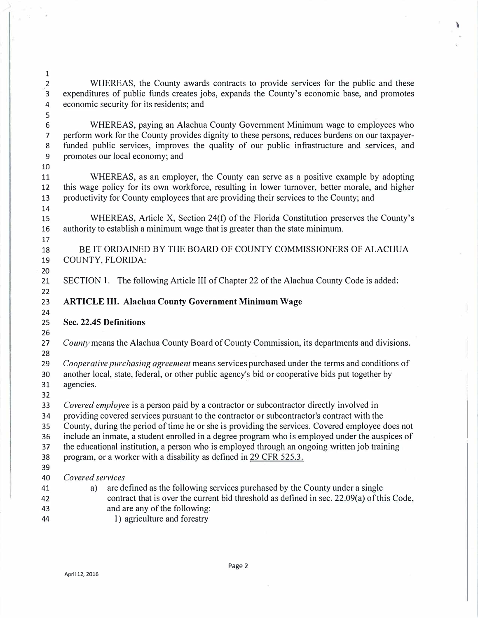WHEREAS, the County awards contracts to provide services for the public and these expenditures of public funds creates jobs, expands the County's economic base, and promotes economic security for its residents; and WHEREAS, paying an Alachua County Government Minimum wage to employees who 

perform work for the County provides dignity to these persons, reduces burdens on our taxpayerfunded public services, improves the quality of our public inf*r*astructure and services, and promotes our local economy; and 

11 WHEREAS, as an employer, the County can serve as a positive example by adopting this wage policy for its own workforce, resulting in lower turnover, better morale, and higher productivity for County employees that are providing their services to the County; and 

WHEREAS, Article X, Section 24(f) of the Florida Constitution preserves the County's authority to establish a minimum wage that is greater than the state minimum.

BE IT ORDAINED BY THE BOARD OF COUNTY COMMISSIONERS OF ALACHUA COUNTY, FLORIDA:

20<br>21 SECTION 1. The following Article Ill of Chapter 22 of the Alachua County Code is added:

**ARTICLE III. Alachua County Government Minimum Wage** 

24<br>25

## **Sec. 22.45 Definitions**

*County* means the Alachua County Board of County Commission, its departments and divisions. 

*Cooperative purchasing agreement* means services purchased under the terms and conditions of another local, state, federal, or other public agency's bid or cooperative bids put together by 

agencies. 

*Covered employee* is a person paid by a contractor or subcontractor directly involved in

providing covered services pursuant to the contractor or subcontractor's contract with the 

County, during the period of time he or she is providing the services. Covered employee does not 

include an inmate, a student enrolled in a degree program who is employed under the auspices of 

the educational institution, a person who is employed through an ongoing written job training 

program, or a worker with a disability as defined in 29 CFR 525.3. 

39<br>40 *Covered services* 

- a) are defined as the following services purchased by the County under a single contract that is over the current bid threshold as defined in sec. 22.09(a) of this Code, and are any of the following:
- 44 1) agriculture and forestry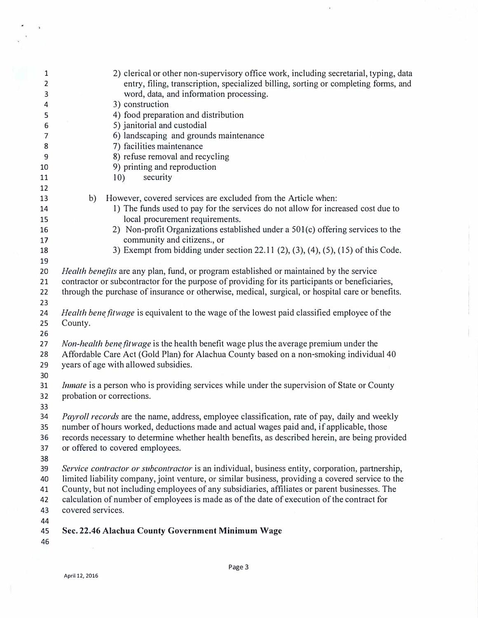| 1  | 2) clerical or other non-supervisory office work, including secretarial, typing, data                                                                                                       |  |  |  |  |
|----|---------------------------------------------------------------------------------------------------------------------------------------------------------------------------------------------|--|--|--|--|
| 2  | entry, filing, transcription, specialized billing, sorting or completing forms, and                                                                                                         |  |  |  |  |
| 3  | word, data, and information processing.                                                                                                                                                     |  |  |  |  |
| 4  | 3) construction                                                                                                                                                                             |  |  |  |  |
| 5  | 4) food preparation and distribution                                                                                                                                                        |  |  |  |  |
| 6  | 5) janitorial and custodial                                                                                                                                                                 |  |  |  |  |
| 7  | 6) landscaping and grounds maintenance                                                                                                                                                      |  |  |  |  |
| 8  | 7) facilities maintenance                                                                                                                                                                   |  |  |  |  |
| 9  | 8) refuse removal and recycling                                                                                                                                                             |  |  |  |  |
| 10 | 9) printing and reproduction                                                                                                                                                                |  |  |  |  |
| 11 | 10)<br>security                                                                                                                                                                             |  |  |  |  |
| 12 |                                                                                                                                                                                             |  |  |  |  |
| 13 | b) However, covered services are excluded from the Article when:                                                                                                                            |  |  |  |  |
| 14 | 1) The funds used to pay for the services do not allow for increased cost due to                                                                                                            |  |  |  |  |
| 15 | local procurement requirements.                                                                                                                                                             |  |  |  |  |
| 16 | 2) Non-profit Organizations established under a 501(c) offering services to the                                                                                                             |  |  |  |  |
| 17 | community and citizens., or                                                                                                                                                                 |  |  |  |  |
| 18 | 3) Exempt from bidding under section 22.11 (2), (3), (4), (5), (15) of this Code.                                                                                                           |  |  |  |  |
| 19 |                                                                                                                                                                                             |  |  |  |  |
| 20 | Health benefits are any plan, fund, or program established or maintained by the service                                                                                                     |  |  |  |  |
| 21 | contractor or subcontractor for the purpose of providing for its participants or beneficiaries,                                                                                             |  |  |  |  |
| 22 | through the purchase of insurance or otherwise, medical, surgical, or hospital care or benefits.                                                                                            |  |  |  |  |
| 23 |                                                                                                                                                                                             |  |  |  |  |
| 24 | Health bene fitwage is equivalent to the wage of the lowest paid classified employee of the                                                                                                 |  |  |  |  |
| 25 | County.                                                                                                                                                                                     |  |  |  |  |
| 26 |                                                                                                                                                                                             |  |  |  |  |
| 27 | Non-health bene fitwage is the health benefit wage plus the average premium under the                                                                                                       |  |  |  |  |
| 28 | Affordable Care Act (Gold Plan) for Alachua County based on a non-smoking individual 40                                                                                                     |  |  |  |  |
| 29 | years of age with allowed subsidies.                                                                                                                                                        |  |  |  |  |
| 30 |                                                                                                                                                                                             |  |  |  |  |
| 31 | <i>Inmate</i> is a person who is providing services while under the supervision of State or County                                                                                          |  |  |  |  |
| 32 | probation or corrections.                                                                                                                                                                   |  |  |  |  |
| 33 |                                                                                                                                                                                             |  |  |  |  |
| 34 | <i>Payroll records</i> are the name, address, employee classification, rate of pay, daily and weekly                                                                                        |  |  |  |  |
| 35 | number of hours worked, deductions made and actual wages paid and, if applicable, those                                                                                                     |  |  |  |  |
| 36 | records necessary to determine whether health benefits, as described herein, are being provided                                                                                             |  |  |  |  |
| 37 | or offered to covered employees.                                                                                                                                                            |  |  |  |  |
| 38 |                                                                                                                                                                                             |  |  |  |  |
| 39 | Service contractor or subcontractor is an individual, business entity, corporation, partnership,                                                                                            |  |  |  |  |
| 40 |                                                                                                                                                                                             |  |  |  |  |
| 41 | limited liability company, joint venture, or similar business, providing a covered service to the                                                                                           |  |  |  |  |
| 42 | County, but not including employees of any subsidiaries, affiliates or parent businesses. The<br>calculation of number of employees is made as of the date of execution of the contract for |  |  |  |  |
| 43 | covered services.                                                                                                                                                                           |  |  |  |  |
| 44 |                                                                                                                                                                                             |  |  |  |  |
| 45 | Sec. 22.46 Alachua County Government Minimum Wage                                                                                                                                           |  |  |  |  |
|    |                                                                                                                                                                                             |  |  |  |  |
| 46 |                                                                                                                                                                                             |  |  |  |  |

ä

 $\epsilon$  $\alpha$  $\mathcal{C}$ i,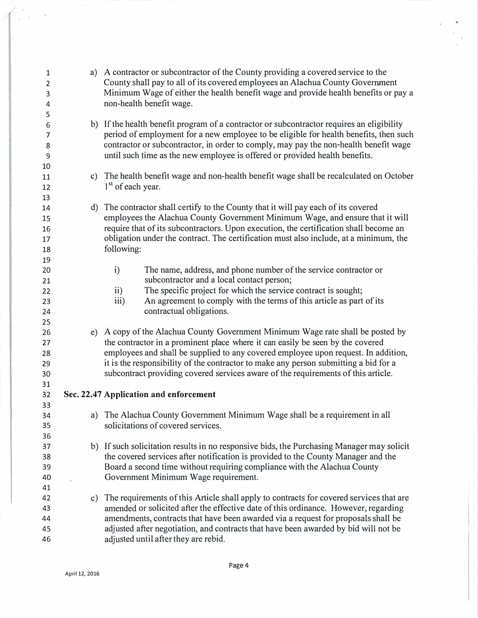| 1<br>$\overline{2}$<br>3<br>4<br>5 | a) A contractor or subcontractor of the County providing a covered service to the<br>County shall pay to all of its covered employees an Alachua County Government<br>Minimum Wage of either the health benefit wage and provide health benefits or pay a<br>non-health benefit wage.                                                                                                                                                |
|------------------------------------|--------------------------------------------------------------------------------------------------------------------------------------------------------------------------------------------------------------------------------------------------------------------------------------------------------------------------------------------------------------------------------------------------------------------------------------|
| 6<br>7<br>8<br>9                   | b) If the health benefit program of a contractor or subcontractor requires an eligibility<br>period of employment for a new employee to be eligible for health benefits, then such<br>contractor or subcontractor, in order to comply, may pay the non-health benefit wage<br>until such time as the new employee is offered or provided health benefits.                                                                            |
| 10<br>11<br>12<br>13               | c) The health benefit wage and non-health benefit wage shall be recalculated on October<br>1 <sup>st</sup> of each year.                                                                                                                                                                                                                                                                                                             |
| 14<br>15<br>16<br>17<br>18<br>19   | d) The contractor shall certify to the County that it will pay each of its covered<br>employees the Alachua County Government Minimum Wage, and ensure that it will<br>require that of its subcontractors. Upon execution, the certification shall become an<br>obligation under the contract. The certification must also include, at a minimum, the<br>following:                                                                  |
| 20<br>21<br>22<br>23<br>24<br>25   | The name, address, and phone number of the service contractor or<br>$\mathbf{i}$<br>subcontractor and a local contact person;<br>The specific project for which the service contract is sought;<br>$\mathbf{ii}$<br>An agreement to comply with the terms of this article as part of its<br>iii)<br>contractual obligations.                                                                                                         |
| 26<br>27<br>28<br>29<br>30<br>31   | e) A copy of the Alachua County Government Minimum Wage rate shall be posted by<br>the contractor in a prominent place where it can easily be seen by the covered<br>employees and shall be supplied to any covered employee upon request. In addition,<br>it is the responsibility of the contractor to make any person submitting a bid for a<br>subcontract providing covered services aware of the requirements of this article. |
| 32<br>33                           | Sec. 22.47 Application and enforcement                                                                                                                                                                                                                                                                                                                                                                                               |
| 34<br>35<br>36                     | a) The Alachua County Government Minimum Wage shall be a requirement in all<br>solicitations of covered services.                                                                                                                                                                                                                                                                                                                    |
| 37<br>38<br>39<br>40<br>41         | b) If such solicitation results in no responsive bids, the Purchasing Manager may solicit<br>the covered services after notification is provided to the County Manager and the<br>Board a second time without requiring compliance with the Alachua County -<br>Government Minimum Wage requirement.                                                                                                                                 |
| 42<br>43<br>44<br>45<br>46         | c) The requirements of this Article shall apply to contracts for covered services that are<br>amended or solicited after the effective date of this ordinance. However, regarding<br>amendments, contracts that have been awarded via a request for proposals shall be<br>adjusted after negotiation, and contracts that have been awarded by bid will not be<br>adjusted until after they are rebid.                                |

 $\frac{1}{\sqrt{2}}$ 

 $\hat{\boldsymbol{\epsilon}}$ 

 $\int_{\Gamma} \frac{1}{\sqrt{1-\frac{1}{2}}}\,d\mu$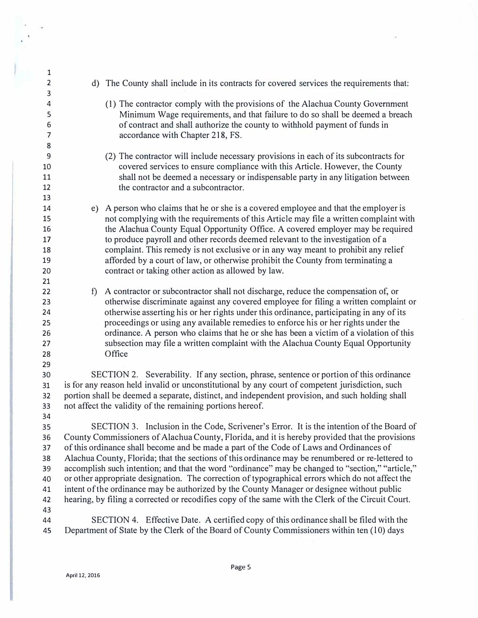| 1              |                                                                                                    |                                                                                             |  |  |  |
|----------------|----------------------------------------------------------------------------------------------------|---------------------------------------------------------------------------------------------|--|--|--|
| $\mathbf 2$    |                                                                                                    | d) The County shall include in its contracts for covered services the requirements that:    |  |  |  |
| 3              |                                                                                                    |                                                                                             |  |  |  |
| 4              |                                                                                                    | (1) The contractor comply with the provisions of the Alachua County Government              |  |  |  |
| 5              |                                                                                                    | Minimum Wage requirements, and that failure to do so shall be deemed a breach               |  |  |  |
| 6              |                                                                                                    | of contract and shall authorize the county to withhold payment of funds in                  |  |  |  |
| $\overline{7}$ |                                                                                                    | accordance with Chapter 218, FS.                                                            |  |  |  |
| 8              |                                                                                                    |                                                                                             |  |  |  |
| 9              |                                                                                                    | (2) The contractor will include necessary provisions in each of its subcontracts for        |  |  |  |
| 10             |                                                                                                    | covered services to ensure compliance with this Article. However, the County                |  |  |  |
| 11             |                                                                                                    | shall not be deemed a necessary or indispensable party in any litigation between            |  |  |  |
| 12             |                                                                                                    | the contractor and a subcontractor.                                                         |  |  |  |
| 13             |                                                                                                    |                                                                                             |  |  |  |
| 14             |                                                                                                    | e) A person who claims that he or she is a covered employee and that the employer is        |  |  |  |
| 15             |                                                                                                    | not complying with the requirements of this Article may file a written complaint with       |  |  |  |
| 16             |                                                                                                    | the Alachua County Equal Opportunity Office. A covered employer may be required             |  |  |  |
| 17             |                                                                                                    | to produce payroll and other records deemed relevant to the investigation of a              |  |  |  |
| 18             |                                                                                                    | complaint. This remedy is not exclusive or in any way meant to prohibit any relief          |  |  |  |
| 19             |                                                                                                    | afforded by a court of law, or otherwise prohibit the County from terminating a             |  |  |  |
| 20             |                                                                                                    | contract or taking other action as allowed by law.                                          |  |  |  |
| 21             |                                                                                                    |                                                                                             |  |  |  |
| 22             | f                                                                                                  | A contractor or subcontractor shall not discharge, reduce the compensation of, or           |  |  |  |
| 23             |                                                                                                    | otherwise discriminate against any covered employee for filing a written complaint or       |  |  |  |
| 24             |                                                                                                    | otherwise asserting his or her rights under this ordinance, participating in any of its     |  |  |  |
| 25             |                                                                                                    | proceedings or using any available remedies to enforce his or her rights under the          |  |  |  |
| 26             |                                                                                                    | ordinance. A person who claims that he or she has been a victim of a violation of this      |  |  |  |
| 27<br>28       |                                                                                                    | subsection may file a written complaint with the Alachua County Equal Opportunity<br>Office |  |  |  |
| 29             |                                                                                                    |                                                                                             |  |  |  |
| 30             |                                                                                                    | SECTION 2. Severability. If any section, phrase, sentence or portion of this ordinance      |  |  |  |
| 31             | is for any reason held invalid or unconstitutional by any court of competent jurisdiction, such    |                                                                                             |  |  |  |
| 32             | portion shall be deemed a separate, distinct, and independent provision, and such holding shall    |                                                                                             |  |  |  |
| 33             | not affect the validity of the remaining portions hereof.                                          |                                                                                             |  |  |  |
| 34             |                                                                                                    |                                                                                             |  |  |  |
| 35             |                                                                                                    | SECTION 3. Inclusion in the Code, Scrivener's Error. It is the intention of the Board of    |  |  |  |
| 36             | County Commissioners of Alachua County, Florida, and it is hereby provided that the provisions     |                                                                                             |  |  |  |
| 37             | of this ordinance shall become and be made a part of the Code of Laws and Ordinances of            |                                                                                             |  |  |  |
| 38             | Alachua County, Florida; that the sections of this ordinance may be renumbered or re-lettered to   |                                                                                             |  |  |  |
| 39             | accomplish such intention; and that the word "ordinance" may be changed to "section," "article,"   |                                                                                             |  |  |  |
| 40             | or other appropriate designation. The correction of typographical errors which do not affect the   |                                                                                             |  |  |  |
| 41             | intent of the ordinance may be authorized by the County Manager or designee without public         |                                                                                             |  |  |  |
| 42             | hearing, by filing a corrected or recodifies copy of the same with the Clerk of the Circuit Court. |                                                                                             |  |  |  |
| 43             |                                                                                                    |                                                                                             |  |  |  |
| 44             |                                                                                                    | SECTION 4. Effective Date. A certified copy of this ordinance shall be filed with the       |  |  |  |
| 45             |                                                                                                    | Department of State by the Clerk of the Board of County Commissioners within ten (10) days  |  |  |  |
|                |                                                                                                    |                                                                                             |  |  |  |

 $\langle \Psi \rangle$ 

 $\bullet$ 

Ê,